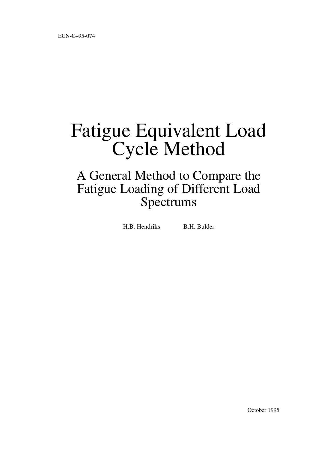# Fatigue Equivalent Load Cycle Method

# A General Method to Compare the Fatigue Loading of Different Load Spectrums

H.B. Hendriks B.H. Bulder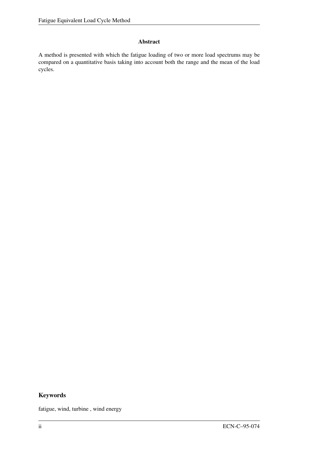#### Abstract

A method is presented with which the fatigue loading of two or more load spectrums may be compared on a quantitative basis taking into account both the range and the mean of the load cycles.

#### Keywords

fatigue, wind, turbine , wind energy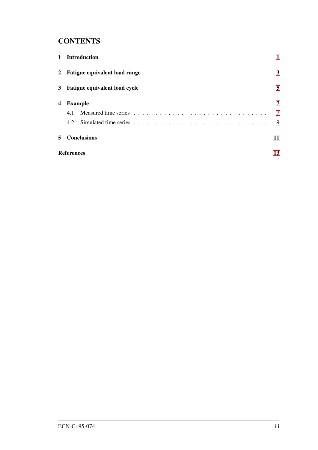## **CONTENTS**

| $\mathbf{1}$ | <b>Introduction</b>             |    |  |  |  |
|--------------|---------------------------------|----|--|--|--|
|              | 2 Fatigue equivalent load range |    |  |  |  |
|              | 3 Fatigue equivalent load cycle | 5  |  |  |  |
| 4            | <b>Example</b>                  | 7  |  |  |  |
|              | 4.1                             | 7  |  |  |  |
|              | 4.2                             | 9  |  |  |  |
| 5            | <b>Conclusions</b>              | 11 |  |  |  |
|              | <b>References</b>               | 13 |  |  |  |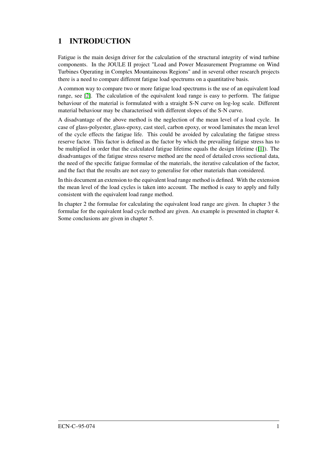# <span id="page-4-0"></span>1 INTRODUCTION

Fatigue is the main design driver for the calculation of the structural integrity of wind turbine components. In the JOULE II project "Load and Power Measurement Programme on Wind Turbines Operating in Complex Mountaineous Regions" and in several other research projects there is a need to compare different fatigue load spectrums on a quantitative basis.

A common way to compare two or more fatigue load spectrums is the use of an equivalent load range, see [\[2\]](#page-16-1). The calculation of the equivalent load range is easy to perform. The fatigue behaviour of the material is formulated with a straight S-N curve on log-log scale. Different material behaviour may be characterised with different slopes of the S-N curve.

A disadvantage of the above method is the neglection of the mean level of a load cycle. In case of glass-polyester, glass-epoxy, cast steel, carbon epoxy, or wood laminates the mean level of the cycle effects the fatigue life. This could be avoided by calculating the fatigue stress reserve factor. This factor is defined as the factor by which the prevailing fatigue stress has to be multiplied in order that the calculated fatigue lifetime equals the design lifetime ([\[1\]](#page-16-0)). The disadvantages of the fatigue stress reserve method are the need of detailed cross sectional data, the need of the specific fatigue formulae of the materials, the iterative calculation of the factor, and the fact that the results are not easy to generalise for other materials than considered.

In this document an extension to the equivalent load range method is defined. With the extension the mean level of the load cycles is taken into account. The method is easy to apply and fully consistent with the equivalent load range method.

In chapter 2 the formulae for calculating the equivalent load range are given. In chapter 3 the formulae for the equivalent load cycle method are given. An example is presented in chapter 4. Some conclusions are given in chapter 5.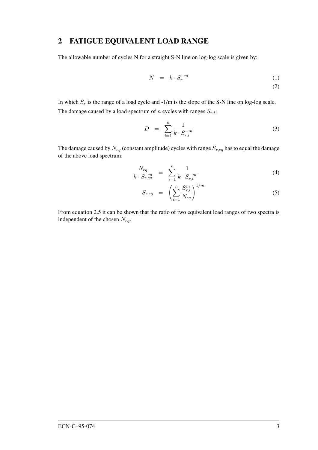#### <span id="page-6-0"></span>2 FATIGUE EQUIVALENT LOAD RANGE

The allowable number of cycles N for a straight S-N line on log-log scale is given by:

$$
N = k \cdot S_r^{-m} \tag{1}
$$

(2)

In which  $S_r$  is the range of a load cycle and -1/m is the slope of the S-N line on log-log scale. The damage caused by a load spectrum of n cycles with ranges  $S_{r,i}$ :

$$
D = \sum_{i=1}^{n} \frac{1}{k \cdot S_{r,i}^{-m}}
$$
 (3)

The damage caused by  $N_{eq}$  (constant amplitude) cycles with range  $S_{r,eq}$  has to equal the damage of the above load spectrum:

$$
\frac{N_{eq}}{k \cdot S_{r,eq}^{-m}} = \sum_{i=1}^{n} \frac{1}{k \cdot S_{r,i}^{-m}}
$$
\n(4)

$$
S_{r,eq} = \left(\sum_{i=1}^{n} \frac{S_{r,i}^m}{N_{eq}}\right)^{1/m} \tag{5}
$$

From equation 2.5 it can be shown that the ratio of two equivalent load ranges of two spectra is independent of the chosen  $N_{eq}$ .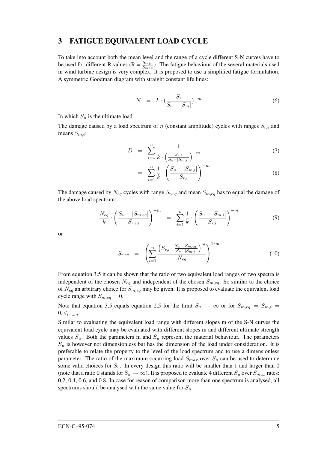#### <span id="page-8-0"></span>3 FATIGUE EQUIVALENT LOAD CYCLE

To take into account both the mean level and the range of a cycle different S-N curves have to be used for different R values ( $R = \frac{S_{min}}{S_{max}}$ ). The fatigue behaviour of the several materials used in wind turbine design is very complex. It is proposed to use a simplified fatigue formulation. A symmetric Goodman diagram with straight constant life lines:

$$
N = k \cdot \left(\frac{S_r}{S_u - |S_m|}\right)^{-m} \tag{6}
$$

In which  $S_u$  is the ultimate load.

The damage caused by a load spectrum of n (constant amplitude) cycles with ranges  $S_{r,i}$  and means  $S_{m,i}$ :

$$
D = \sum_{i=1}^{n} \frac{1}{k \cdot \left(\frac{S_{r,i}}{S_u - |S_{m,i}|}\right)^{-m}}
$$
(7)

$$
= \sum_{i=1}^{n} \frac{1}{k} \cdot \left( \frac{S_u - |S_{m,i}|}{S_{r,i}} \right)^{-m}
$$
(8)

The damage caused by  $N_{eq}$  cycles with range  $S_{r,eq}$  and mean  $S_{m,eq}$  has to equal the damage of the above load spectrum:

$$
\frac{N_{eq}}{k} \cdot \left(\frac{S_u - |S_{m,eq}|}{S_{r,eq}}\right)^{-m} = \sum_{i=1}^{n} \frac{1}{k} \cdot \left(\frac{S_u - |S_{m,i}|}{S_{r,i}}\right)^{-m}
$$
(9)

or

$$
S_{r,eq} = \left(\sum_{i=1}^{n} \frac{\left(S_{r,i} \cdot \frac{S_u - |S_{m,eq}|}{S_u - |S_{m,i}|}\right)^m}{N_{eq}}\right)^{1/m} \tag{10}
$$

From equation 3.5 it can be shown that the ratio of two equivalent load ranges of two spectra is independent of the chosen  $N_{eq}$  and independent of the chosen  $S_{m,eq}$ . So similar to the choice of  $N_{eq}$  an arbitrary choice for  $S_{m,eq}$  may be given. It is proposed to evaluate the equivalent load cycle range with  $S_{m,eq} = 0$ .

Note that equation 3.5 equals equation 2.5 for the limit  $S_u \rightarrow \infty$  or for  $S_{m,eq} = S_{m,i}$  $0, \forall_{i=1,n}$ 

Similar to evaluating the equivalent load range with different slopes m of the S-N curves the equivalent load cycle may be evaluated with different slopes m and different ultimate strength values  $S_u$ . Both the parameters m and  $S_u$  represent the material behaviour. The parameters  $S_u$  is however not dimensionless but has the dimension of the load under consideration. It is preferable to relate the property to the level of the load spectrum and to use a dimensionless parameter. The ratio of the maximum occurring load  $S_{max}$  over  $S_u$  can be used to determine some valid choices for  $S_u$ . In every design this ratio will be smaller than 1 and larger than 0 (note that a ratio 0 stands for  $S_u \to \infty$ ). It is proposed to evaluate 4 different  $S_u$  over  $S_{max}$  rates: 0.2, 0.4, 0.6, and 0.8. In case for reason of comparison more than one spectrum is analysed, all spectrums should be analysed with the same value for  $S_u$ .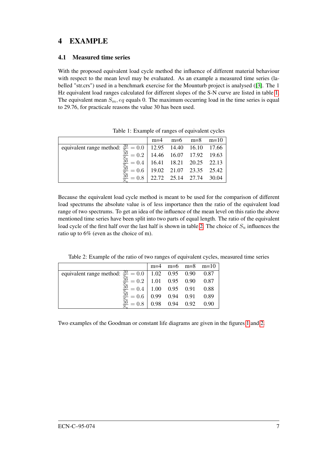### <span id="page-10-0"></span>4 EXAMPLE

#### <span id="page-10-1"></span>4.1 Measured time series

With the proposed equivalent load cycle method the influence of different material behaviour with respect to the mean level may be evaluated. As an example a measured time series (labelled "str.crs") used in a benchmark exercise for the Mounturb project is analysed ([\[3\]](#page-16-2). The 1 Hz equivalent load ranges calculated for different slopes of the S-N curve are listed in table [1.](#page-10-2) The equivalent mean  $S_m$ , eq equals 0. The maximum occurring load in the time series is equal to 29.76, for practicale reasons the value 30 has been used.

|                                                                                                                                         | $m=4$ $m=6$ $m=8$ $m=10$ |  |
|-----------------------------------------------------------------------------------------------------------------------------------------|--------------------------|--|
|                                                                                                                                         |                          |  |
| equivalent range method: $\frac{30}{50} = 0.0$ 12.95 14.40 16.10 17.66<br>$\frac{30}{50} = 0.2$ 14.46 16.07 17.92 19.63                 |                          |  |
| $\frac{\frac{38}{5}}{\frac{30}{5u}} = 0.4 \begin{bmatrix} 16.41 & 18.21 & 20.25 & 22.13 \\ 19.02 & 21.07 & 23.35 & 25.42 \end{bmatrix}$ |                          |  |
|                                                                                                                                         |                          |  |
| $\frac{30}{5}$ = 0.8 22.72 25.14 27.74 30.04                                                                                            |                          |  |

<span id="page-10-2"></span>Table 1: Example of ranges of equivalent cycles

Because the equivalent load cycle method is meant to be used for the comparison of different load spectrums the absolute value is of less importance then the ratio of the equivalent load range of two spectrums. To get an idea of the influence of the mean level on this ratio the above mentioned time series have been split into two parts of equal length. The ratio of the equivalent load cycle of the first half over the last half is shown in table [2.](#page-10-3) The choice of  $S_u$  influences the ratio up to 6% (even as the choice of m).

<span id="page-10-3"></span>Table 2: Example of the ratio of two ranges of equivalent cycles, measured time series

|                                                                                    |                        | $m=4$ $m=6$ $m=8$ $m=10$ |
|------------------------------------------------------------------------------------|------------------------|--------------------------|
| equivalent range method: $\frac{30}{5} = 0.0$   1.02 0.95 0.90 0.87                |                        |                          |
| $\frac{30}{5}$<br>$= 0.2$   1.01 0.95 0.90 0.87                                    |                        |                          |
| $\frac{30}{5}$<br>$= 0.4 \begin{array}{ l} 1.00 & 0.95 & 0.91 & 0.88 \end{array}$  |                        |                          |
| $rac{30}{5}$<br>$= 0.6 \begin{array}{ ccc } 0.99 & 0.94 & 0.91 & 0.89 \end{array}$ |                        |                          |
| $\frac{36}{5}$<br>$= 0.8$                                                          | 0.98  0.94  0.92  0.90 |                          |

Two examples of the Goodman or constant life diagrams are given in the figures [1](#page-11-0) and [2.](#page-11-1)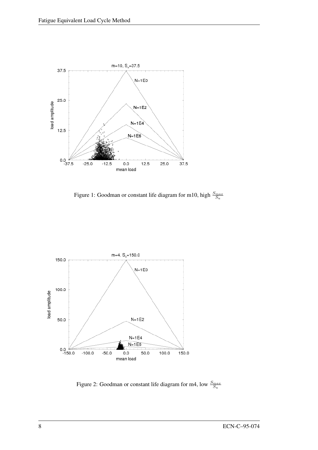

<span id="page-11-0"></span>Figure 1: Goodman or constant life diagram for m10, high  $\frac{S_{max}}{S_u}$ 



<span id="page-11-1"></span>Figure 2: Goodman or constant life diagram for m4, low  $\frac{S_{max}}{S_u}$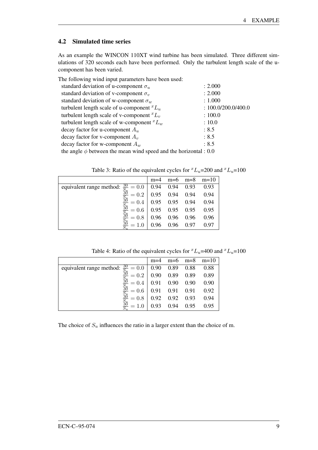#### <span id="page-12-0"></span>4.2 Simulated time series

As an example the WINCON 110XT wind turbine has been simulated. Three different simulations of 320 seconds each have been performed. Only the turbulent length scale of the ucomponent has been varied.

| The following wind input parameters have been used:                   |                       |
|-----------------------------------------------------------------------|-----------------------|
| standard deviation of u-component $\sigma_u$                          | : 2.000               |
| standard deviation of v-component $\sigma_v$                          | : 2.000               |
| standard deviation of w-component $\sigma_w$                          | : 1.000               |
| turbulent length scale of u-component ${}^xL_u$                       | : $100.0/200.0/400.0$ |
| turbulent length scale of v-component ${}^xL_v$                       | : 100.0               |
| turbulent length scale of w-component ${}^xL_w$                       | : 10.0                |
| decay factor for u-component $A_u$                                    | : 8.5                 |
| decay factor for v-component $A_v$                                    | : 8.5                 |
| decay factor for w-component $A_w$                                    | : 8.5                 |
| the angle $\phi$ between the mean wind speed and the horizontal : 0.0 |                       |

Table 3: Ratio of the equivalent cycles for  ${}^xL_u$ =200 and  ${}^xL_u$ =100

|                                                                                              | $m=4$ |                       |           | $m=6$ $m=8$ $m=10$ |
|----------------------------------------------------------------------------------------------|-------|-----------------------|-----------|--------------------|
| equivalent range method: $\frac{30}{5} = 0.0 \begin{array}{ l} 0.94 & 0.94 \end{array}$ 0.93 |       |                       |           | 0.93               |
| $= 0.2$                                                                                      |       | $0.95$ 0.94 0.94 0.94 |           |                    |
| $\frac{30}{5}$<br>$= 0.4$                                                                    |       | 0.95 0.95 0.94 0.94   |           |                    |
| $\frac{36}{5}$<br>$= 0.6$                                                                    |       | 0.95 0.95 0.95 0.95   |           |                    |
| $= 0.8$                                                                                      |       | $0.96$ 0.96 0.96 0.96 |           |                    |
|                                                                                              | 0.96  |                       | 0.96 0.97 | 0.97               |

Table 4: Ratio of the equivalent cycles for  ${}^xL_u$ =400 and  ${}^xL_u$ =100

|                                                                                                                                                                                                                                                            | $m=4$ |                     |      | $m=6$ $m=8$ $m=10$ |
|------------------------------------------------------------------------------------------------------------------------------------------------------------------------------------------------------------------------------------------------------------|-------|---------------------|------|--------------------|
|                                                                                                                                                                                                                                                            |       |                     |      | 0.88               |
|                                                                                                                                                                                                                                                            |       | 0.90 0.89 0.89 0.89 |      |                    |
|                                                                                                                                                                                                                                                            |       |                     |      | 0.90               |
| equivalent range method: $\frac{30}{S_H} = 0.0$ (0.90 (0.89 (0.88 )<br>$\frac{30}{S_H} = 0.2$ (0.90 (0.89 ) 0.89 (0.89 )<br>$\frac{30}{S_H} = 0.4$ (0.91 (0.90 ) 0.90 (0.90 )<br>$\frac{30}{S_H} = 0.6$ (0.91 (0.91 ) 0.91 (0.91 ) 0.93 (0.92 ) 0.93 (0.92 |       |                     |      | 0.92               |
|                                                                                                                                                                                                                                                            |       |                     |      | 0.94               |
| $\frac{36}{5}$                                                                                                                                                                                                                                             | 0.93  | 0.94                | 0.95 | 0.95               |

The choice of  $S_u$  influences the ratio in a larger extent than the choice of m.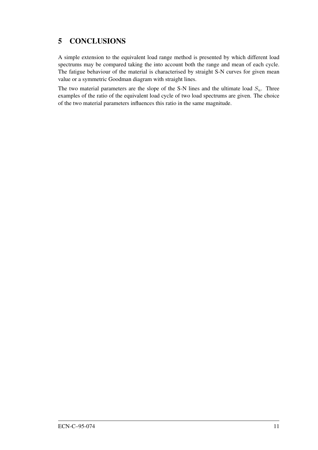# <span id="page-14-0"></span>5 CONCLUSIONS

A simple extension to the equivalent load range method is presented by which different load spectrums may be compared taking the into account both the range and mean of each cycle. The fatigue behaviour of the material is characterised by straight S-N curves for given mean value or a symmetric Goodman diagram with straight lines.

The two material parameters are the slope of the S-N lines and the ultimate load  $S_u$ . Three examples of the ratio of the equivalent load cycle of two load spectrums are given. The choice of the two material parameters influences this ratio in the same magnitude.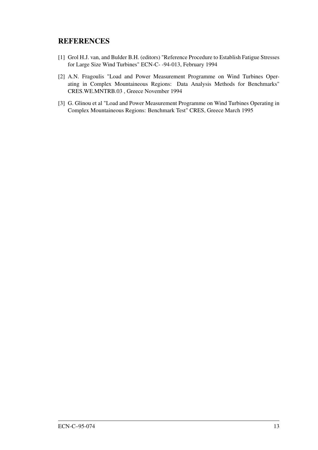#### REFERENCES

- <span id="page-16-0"></span>[1] Grol H.J. van, and Bulder B.H. (editors) "Reference Procedure to Establish Fatigue Stresses for Large Size Wind Turbines" ECN-C- -94-013, February 1994
- <span id="page-16-1"></span>[2] A.N. Fragoulis "Load and Power Measurement Programme on Wind Turbines Operating in Complex Mountaineous Regions: Data Analysis Methods for Benchmarks" CRES.WE.MNTRB.03 , Greece November 1994
- <span id="page-16-2"></span>[3] G. Glinou et al "Load and Power Measurement Programme on Wind Turbines Operating in Complex Mountaineous Regions: Benchmark Test" CRES, Greece March 1995